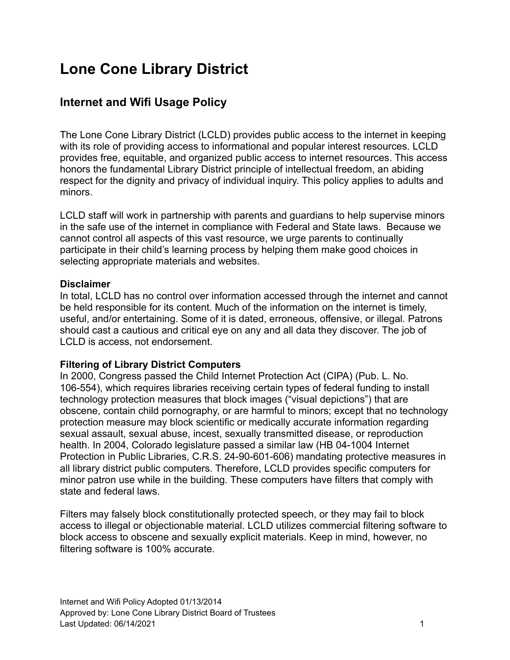# **Lone Cone Library District**

# **Internet and Wifi Usage Policy**

The Lone Cone Library District (LCLD) provides public access to the internet in keeping with its role of providing access to informational and popular interest resources. LCLD provides free, equitable, and organized public access to internet resources. This access honors the fundamental Library District principle of intellectual freedom, an abiding respect for the dignity and privacy of individual inquiry. This policy applies to adults and minors.

LCLD staff will work in partnership with parents and guardians to help supervise minors in the safe use of the internet in compliance with Federal and State laws. Because we cannot control all aspects of this vast resource, we urge parents to continually participate in their child's learning process by helping them make good choices in selecting appropriate materials and websites.

#### **Disclaimer**

In total, LCLD has no control over information accessed through the internet and cannot be held responsible for its content. Much of the information on the internet is timely, useful, and/or entertaining. Some of it is dated, erroneous, offensive, or illegal. Patrons should cast a cautious and critical eye on any and all data they discover. The job of LCLD is access, not endorsement.

#### **Filtering of Library District Computers**

In 2000, Congress passed the Child Internet Protection Act (CIPA) (Pub. L. No. 106-554), which requires libraries receiving certain types of federal funding to install technology protection measures that block images ("visual depictions") that are obscene, contain child pornography, or are harmful to minors; except that no technology protection measure may block scientific or medically accurate information regarding sexual assault, sexual abuse, incest, sexually transmitted disease, or reproduction health. In 2004, Colorado legislature passed a similar law (HB 04-1004 Internet Protection in Public Libraries, C.R.S. 24-90-601-606) mandating protective measures in all library district public computers. Therefore, LCLD provides specific computers for minor patron use while in the building. These computers have filters that comply with state and federal laws.

Filters may falsely block constitutionally protected speech, or they may fail to block access to illegal or objectionable material. LCLD utilizes commercial filtering software to block access to obscene and sexually explicit materials. Keep in mind, however, no filtering software is 100% accurate.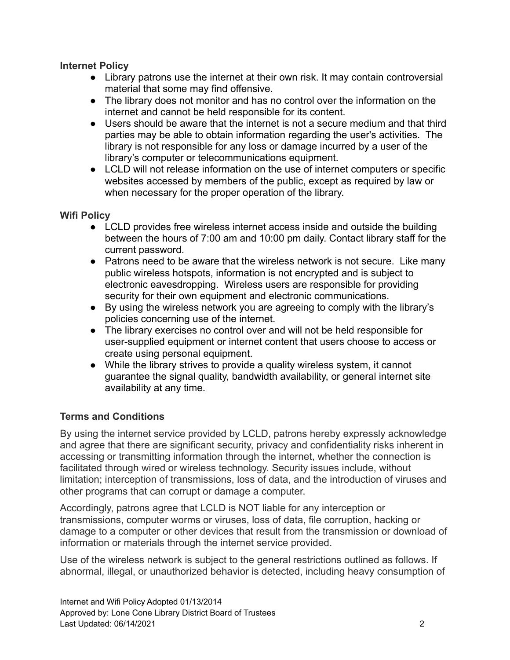#### **Internet Policy**

- Library patrons use the internet at their own risk. It may contain controversial material that some may find offensive.
- The library does not monitor and has no control over the information on the internet and cannot be held responsible for its content.
- Users should be aware that the internet is not a secure medium and that third parties may be able to obtain information regarding the user's activities. The library is not responsible for any loss or damage incurred by a user of the library's computer or telecommunications equipment.
- LCLD will not release information on the use of internet computers or specific websites accessed by members of the public, except as required by law or when necessary for the proper operation of the library.

#### **Wifi Policy**

- LCLD provides free wireless internet access inside and outside the building between the hours of 7:00 am and 10:00 pm daily. Contact library staff for the current password.
- Patrons need to be aware that the wireless network is not secure. Like many public wireless hotspots, information is not encrypted and is subject to electronic eavesdropping. Wireless users are responsible for providing security for their own equipment and electronic communications.
- By using the wireless network you are agreeing to comply with the library's policies concerning use of the internet.
- The library exercises no control over and will not be held responsible for user-supplied equipment or internet content that users choose to access or create using personal equipment.
- While the library strives to provide a quality wireless system, it cannot guarantee the signal quality, bandwidth availability, or general internet site availability at any time.

#### **Terms and Conditions**

By using the internet service provided by LCLD, patrons hereby expressly acknowledge and agree that there are significant security, privacy and confidentiality risks inherent in accessing or transmitting information through the internet, whether the connection is facilitated through wired or wireless technology. Security issues include, without limitation; interception of transmissions, loss of data, and the introduction of viruses and other programs that can corrupt or damage a computer.

Accordingly, patrons agree that LCLD is NOT liable for any interception or transmissions, computer worms or viruses, loss of data, file corruption, hacking or damage to a computer or other devices that result from the transmission or download of information or materials through the internet service provided.

Use of the wireless network is subject to the general restrictions outlined as follows. If abnormal, illegal, or unauthorized behavior is detected, including heavy consumption of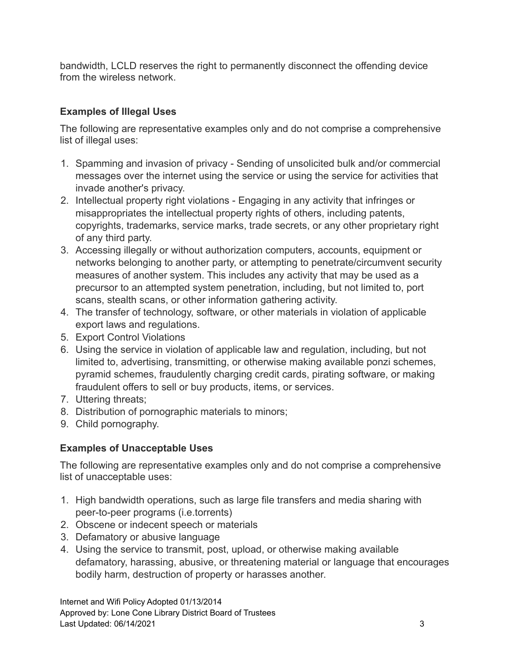bandwidth, LCLD reserves the right to permanently disconnect the offending device from the wireless network.

## **Examples of Illegal Uses**

The following are representative examples only and do not comprise a comprehensive list of illegal uses:

- 1. Spamming and invasion of privacy Sending of unsolicited bulk and/or commercial messages over the internet using the service or using the service for activities that invade another's privacy.
- 2. Intellectual property right violations Engaging in any activity that infringes or misappropriates the intellectual property rights of others, including patents, copyrights, trademarks, service marks, trade secrets, or any other proprietary right of any third party.
- 3. Accessing illegally or without authorization computers, accounts, equipment or networks belonging to another party, or attempting to penetrate/circumvent security measures of another system. This includes any activity that may be used as a precursor to an attempted system penetration, including, but not limited to, port scans, stealth scans, or other information gathering activity.
- 4. The transfer of technology, software, or other materials in violation of applicable export laws and regulations.
- 5. Export Control Violations
- 6. Using the service in violation of applicable law and regulation, including, but not limited to, advertising, transmitting, or otherwise making available ponzi schemes, pyramid schemes, fraudulently charging credit cards, pirating software, or making fraudulent offers to sell or buy products, items, or services.
- 7. Uttering threats;
- 8. Distribution of pornographic materials to minors;
- 9. Child pornography.

### **Examples of Unacceptable Uses**

The following are representative examples only and do not comprise a comprehensive list of unacceptable uses:

- 1. High bandwidth operations, such as large file transfers and media sharing with peer-to-peer programs (i.e.torrents)
- 2. Obscene or indecent speech or materials
- 3. Defamatory or abusive language
- 4. Using the service to transmit, post, upload, or otherwise making available defamatory, harassing, abusive, or threatening material or language that encourages bodily harm, destruction of property or harasses another.

Internet and Wifi Policy Adopted 01/13/2014 Approved by: Lone Cone Library District Board of Trustees Last Updated: 06/14/2021 3